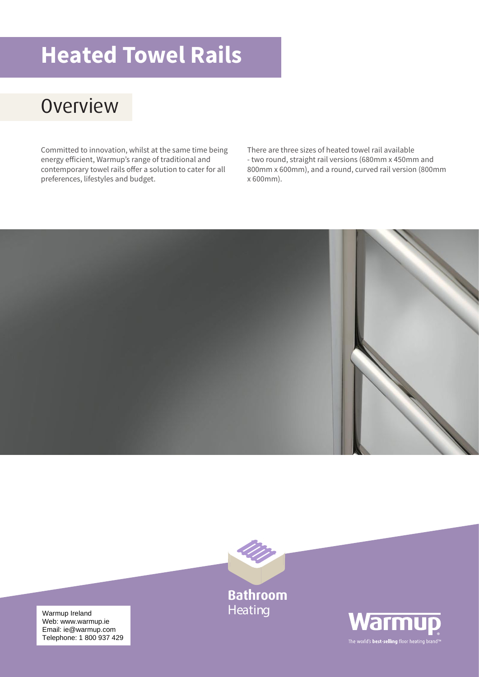# **Heated Towel Rails**

## **Overview**

Committed to innovation, whilst at the same time being energy efficient, Warmup's range of traditional and contemporary towel rails offer a solution to cater for all preferences, lifestyles and budget.

There are three sizes of heated towel rail available - two round, straight rail versions (680mm x 450mm and 800mm x 600mm), and a round, curved rail version (800mm x 600mm).





**Bathroom Heating** 



Warmup Ireland<br>Web: www.warmup.je Email: ie@warmup.com Telephone: 1 800 937 429 Web: www.warmup.ie